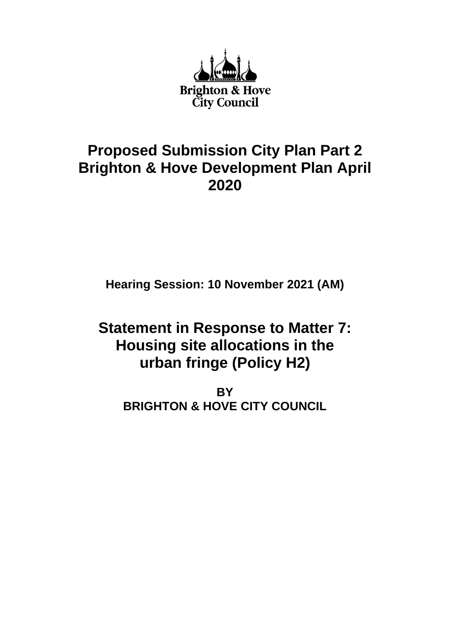

# **Proposed Submission City Plan Part 2 Brighton & Hove Development Plan April 2020**

**Hearing Session: 10 November 2021 (AM)**

# **Statement in Response to Matter 7: Housing site allocations in the urban fringe (Policy H2)**

**BY BRIGHTON & HOVE CITY COUNCIL**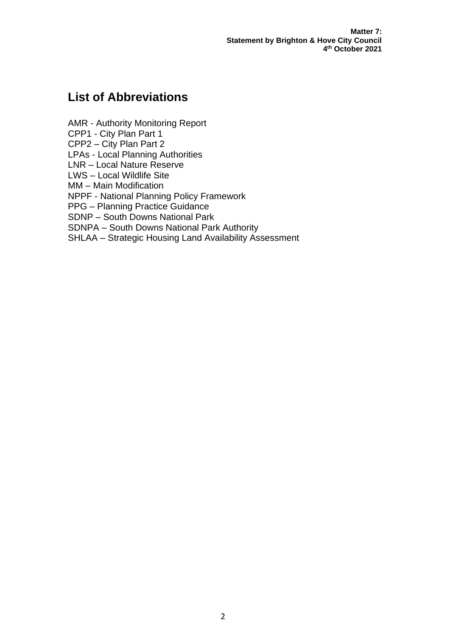**Matter 7: Statement by Brighton & Hove City Council 4 th October 2021**

# **List of Abbreviations**

AMR - Authority Monitoring Report CPP1 - City Plan Part 1 CPP2 – City Plan Part 2 LPAs - Local Planning Authorities LNR – Local Nature Reserve LWS – Local Wildlife Site MM – Main Modification NPPF - National Planning Policy Framework PPG – Planning Practice Guidance SDNP – South Downs National Park SDNPA – South Downs National Park Authority SHLAA – Strategic Housing Land Availability Assessment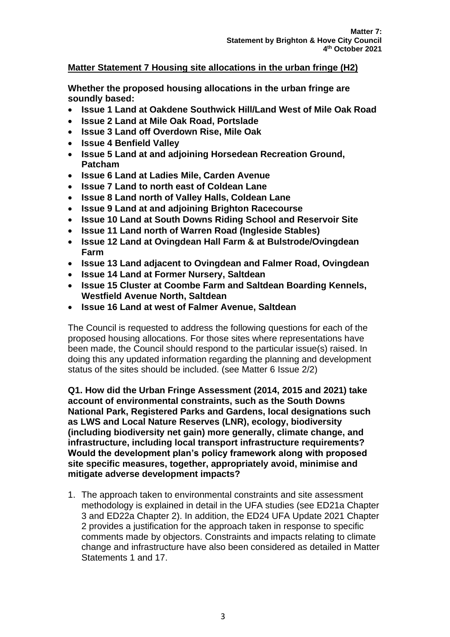# **Matter Statement 7 Housing site allocations in the urban fringe (H2)**

**Whether the proposed housing allocations in the urban fringe are soundly based:**

- **Issue 1 Land at Oakdene Southwick Hill/Land West of Mile Oak Road**
- **Issue 2 Land at Mile Oak Road, Portslade**
- **Issue 3 Land off Overdown Rise, Mile Oak**
- **Issue 4 Benfield Valley**
- **Issue 5 Land at and adjoining Horsedean Recreation Ground, Patcham**
- **Issue 6 Land at Ladies Mile, Carden Avenue**
- **Issue 7 Land to north east of Coldean Lane**
- **Issue 8 Land north of Valley Halls, Coldean Lane**
- **Issue 9 Land at and adjoining Brighton Racecourse**
- **Issue 10 Land at South Downs Riding School and Reservoir Site**
- **Issue 11 Land north of Warren Road (Ingleside Stables)**
- **Issue 12 Land at Ovingdean Hall Farm & at Bulstrode/Ovingdean Farm**
- **Issue 13 Land adjacent to Ovingdean and Falmer Road, Ovingdean**
- **Issue 14 Land at Former Nursery, Saltdean**
- **Issue 15 Cluster at Coombe Farm and Saltdean Boarding Kennels, Westfield Avenue North, Saltdean**
- **Issue 16 Land at west of Falmer Avenue, Saltdean**

The Council is requested to address the following questions for each of the proposed housing allocations. For those sites where representations have been made, the Council should respond to the particular issue(s) raised. In doing this any updated information regarding the planning and development status of the sites should be included. (see Matter 6 Issue 2/2)

**Q1. How did the Urban Fringe Assessment (2014, 2015 and 2021) take account of environmental constraints, such as the South Downs National Park, Registered Parks and Gardens, local designations such as LWS and Local Nature Reserves (LNR), ecology, biodiversity (including biodiversity net gain) more generally, climate change, and infrastructure, including local transport infrastructure requirements? Would the development plan's policy framework along with proposed site specific measures, together, appropriately avoid, minimise and mitigate adverse development impacts?**

1. The approach taken to environmental constraints and site assessment methodology is explained in detail in the UFA studies (see ED21a Chapter 3 and ED22a Chapter 2). In addition, the ED24 UFA Update 2021 Chapter 2 provides a justification for the approach taken in response to specific comments made by objectors. Constraints and impacts relating to climate change and infrastructure have also been considered as detailed in Matter Statements 1 and 17.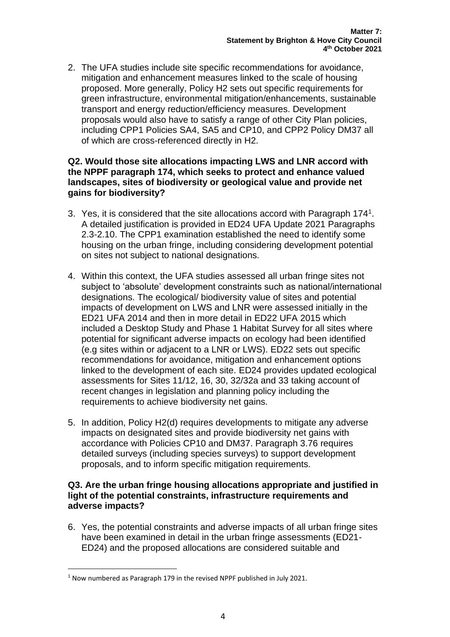2. The UFA studies include site specific recommendations for avoidance, mitigation and enhancement measures linked to the scale of housing proposed. More generally, Policy H2 sets out specific requirements for green infrastructure, environmental mitigation/enhancements, sustainable transport and energy reduction/efficiency measures. Development proposals would also have to satisfy a range of other City Plan policies, including CPP1 Policies SA4, SA5 and CP10, and CPP2 Policy DM37 all of which are cross-referenced directly in H2.

# **Q2. Would those site allocations impacting LWS and LNR accord with the NPPF paragraph 174, which seeks to protect and enhance valued landscapes, sites of biodiversity or geological value and provide net gains for biodiversity?**

- 3. Yes, it is considered that the site allocations accord with Paragraph 174<sup>1</sup>. A detailed justification is provided in ED24 UFA Update 2021 Paragraphs 2.3-2.10. The CPP1 examination established the need to identify some housing on the urban fringe, including considering development potential on sites not subject to national designations.
- 4. Within this context, the UFA studies assessed all urban fringe sites not subject to 'absolute' development constraints such as national/international designations. The ecological/ biodiversity value of sites and potential impacts of development on LWS and LNR were assessed initially in the ED21 UFA 2014 and then in more detail in ED22 UFA 2015 which included a Desktop Study and Phase 1 Habitat Survey for all sites where potential for significant adverse impacts on ecology had been identified (e.g sites within or adjacent to a LNR or LWS). ED22 sets out specific recommendations for avoidance, mitigation and enhancement options linked to the development of each site. ED24 provides updated ecological assessments for Sites 11/12, 16, 30, 32/32a and 33 taking account of recent changes in legislation and planning policy including the requirements to achieve biodiversity net gains.
- 5. In addition, Policy H2(d) requires developments to mitigate any adverse impacts on designated sites and provide biodiversity net gains with accordance with Policies CP10 and DM37. Paragraph 3.76 requires detailed surveys (including species surveys) to support development proposals, and to inform specific mitigation requirements.

# **Q3. Are the urban fringe housing allocations appropriate and justified in light of the potential constraints, infrastructure requirements and adverse impacts?**

6. Yes, the potential constraints and adverse impacts of all urban fringe sites have been examined in detail in the urban fringe assessments (ED21- ED24) and the proposed allocations are considered suitable and

<sup>1</sup> Now numbered as Paragraph 179 in the revised NPPF published in July 2021.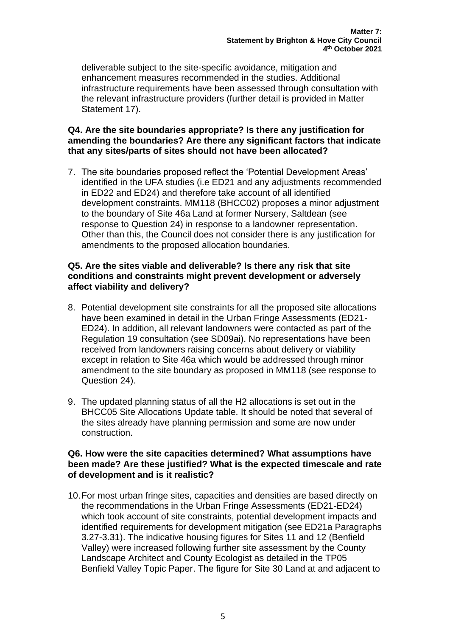deliverable subject to the site-specific avoidance, mitigation and enhancement measures recommended in the studies. Additional infrastructure requirements have been assessed through consultation with the relevant infrastructure providers (further detail is provided in Matter Statement 17).

# **Q4. Are the site boundaries appropriate? Is there any justification for amending the boundaries? Are there any significant factors that indicate that any sites/parts of sites should not have been allocated?**

7. The site boundaries proposed reflect the 'Potential Development Areas' identified in the UFA studies (i.e ED21 and any adjustments recommended in ED22 and ED24) and therefore take account of all identified development constraints. MM118 (BHCC02) proposes a minor adjustment to the boundary of Site 46a Land at former Nursery, Saltdean (see response to Question 24) in response to a landowner representation. Other than this, the Council does not consider there is any justification for amendments to the proposed allocation boundaries.

# **Q5. Are the sites viable and deliverable? Is there any risk that site conditions and constraints might prevent development or adversely affect viability and delivery?**

- 8. Potential development site constraints for all the proposed site allocations have been examined in detail in the Urban Fringe Assessments (ED21- ED24). In addition, all relevant landowners were contacted as part of the Regulation 19 consultation (see SD09ai). No representations have been received from landowners raising concerns about delivery or viability except in relation to Site 46a which would be addressed through minor amendment to the site boundary as proposed in MM118 (see response to Question 24).
- 9. The updated planning status of all the H2 allocations is set out in the BHCC05 Site Allocations Update table. It should be noted that several of the sites already have planning permission and some are now under construction.

# **Q6. How were the site capacities determined? What assumptions have been made? Are these justified? What is the expected timescale and rate of development and is it realistic?**

10.For most urban fringe sites, capacities and densities are based directly on the recommendations in the Urban Fringe Assessments (ED21-ED24) which took account of site constraints, potential development impacts and identified requirements for development mitigation (see ED21a Paragraphs 3.27-3.31). The indicative housing figures for Sites 11 and 12 (Benfield Valley) were increased following further site assessment by the County Landscape Architect and County Ecologist as detailed in the TP05 Benfield Valley Topic Paper. The figure for Site 30 Land at and adjacent to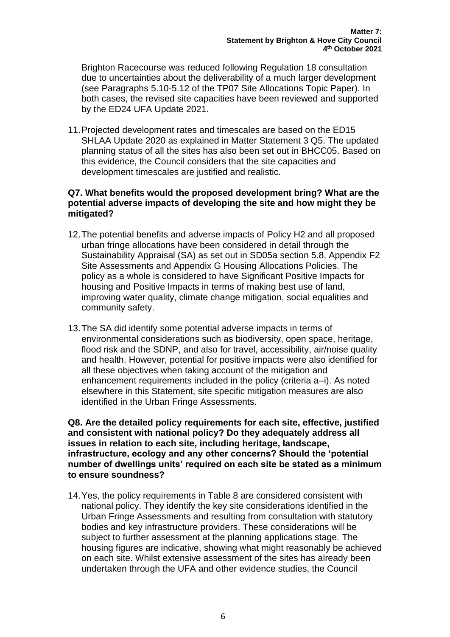Brighton Racecourse was reduced following Regulation 18 consultation due to uncertainties about the deliverability of a much larger development (see Paragraphs 5.10-5.12 of the TP07 Site Allocations Topic Paper). In both cases, the revised site capacities have been reviewed and supported by the ED24 UFA Update 2021.

11.Projected development rates and timescales are based on the ED15 SHLAA Update 2020 as explained in Matter Statement 3 Q5. The updated planning status of all the sites has also been set out in BHCC05. Based on this evidence, the Council considers that the site capacities and development timescales are justified and realistic.

# **Q7. What benefits would the proposed development bring? What are the potential adverse impacts of developing the site and how might they be mitigated?**

- 12.The potential benefits and adverse impacts of Policy H2 and all proposed urban fringe allocations have been considered in detail through the Sustainability Appraisal (SA) as set out in SD05a section 5.8, Appendix F2 Site Assessments and Appendix G Housing Allocations Policies. The policy as a whole is considered to have Significant Positive Impacts for housing and Positive Impacts in terms of making best use of land, improving water quality, climate change mitigation, social equalities and community safety.
- 13.The SA did identify some potential adverse impacts in terms of environmental considerations such as biodiversity, open space, heritage, flood risk and the SDNP, and also for travel, accessibility, air/noise quality and health. However, potential for positive impacts were also identified for all these objectives when taking account of the mitigation and enhancement requirements included in the policy (criteria a–i). As noted elsewhere in this Statement, site specific mitigation measures are also identified in the Urban Fringe Assessments.

**Q8. Are the detailed policy requirements for each site, effective, justified and consistent with national policy? Do they adequately address all issues in relation to each site, including heritage, landscape, infrastructure, ecology and any other concerns? Should the 'potential number of dwellings units' required on each site be stated as a minimum to ensure soundness?** 

14.Yes, the policy requirements in Table 8 are considered consistent with national policy. They identify the key site considerations identified in the Urban Fringe Assessments and resulting from consultation with statutory bodies and key infrastructure providers. These considerations will be subject to further assessment at the planning applications stage. The housing figures are indicative, showing what might reasonably be achieved on each site. Whilst extensive assessment of the sites has already been undertaken through the UFA and other evidence studies, the Council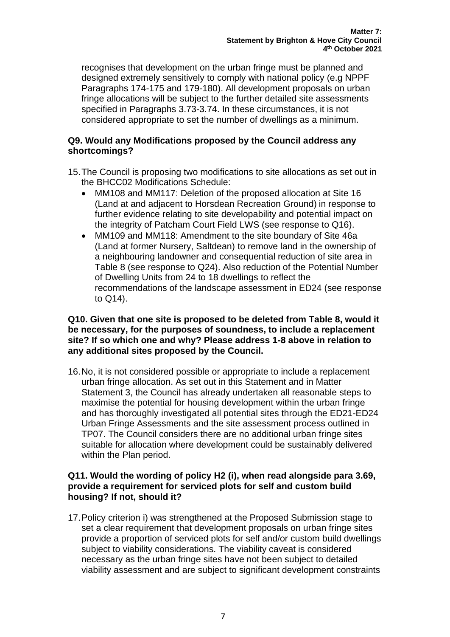recognises that development on the urban fringe must be planned and designed extremely sensitively to comply with national policy (e.g NPPF Paragraphs 174-175 and 179-180). All development proposals on urban fringe allocations will be subject to the further detailed site assessments specified in Paragraphs 3.73-3.74. In these circumstances, it is not considered appropriate to set the number of dwellings as a minimum.

# **Q9. Would any Modifications proposed by the Council address any shortcomings?**

- 15.The Council is proposing two modifications to site allocations as set out in the BHCC02 Modifications Schedule:
	- MM108 and MM117: Deletion of the proposed allocation at Site 16 (Land at and adjacent to Horsdean Recreation Ground) in response to further evidence relating to site developability and potential impact on the integrity of Patcham Court Field LWS (see response to Q16).
	- MM109 and MM118: Amendment to the site boundary of Site 46a (Land at former Nursery, Saltdean) to remove land in the ownership of a neighbouring landowner and consequential reduction of site area in Table 8 (see response to Q24). Also reduction of the Potential Number of Dwelling Units from 24 to 18 dwellings to reflect the recommendations of the landscape assessment in ED24 (see response to Q14).

# **Q10. Given that one site is proposed to be deleted from Table 8, would it be necessary, for the purposes of soundness, to include a replacement site? If so which one and why? Please address 1-8 above in relation to any additional sites proposed by the Council.**

16.No, it is not considered possible or appropriate to include a replacement urban fringe allocation. As set out in this Statement and in Matter Statement 3, the Council has already undertaken all reasonable steps to maximise the potential for housing development within the urban fringe and has thoroughly investigated all potential sites through the ED21-ED24 Urban Fringe Assessments and the site assessment process outlined in TP07. The Council considers there are no additional urban fringe sites suitable for allocation where development could be sustainably delivered within the Plan period.

# **Q11. Would the wording of policy H2 (i), when read alongside para 3.69, provide a requirement for serviced plots for self and custom build housing? If not, should it?**

17.Policy criterion i) was strengthened at the Proposed Submission stage to set a clear requirement that development proposals on urban fringe sites provide a proportion of serviced plots for self and/or custom build dwellings subject to viability considerations. The viability caveat is considered necessary as the urban fringe sites have not been subject to detailed viability assessment and are subject to significant development constraints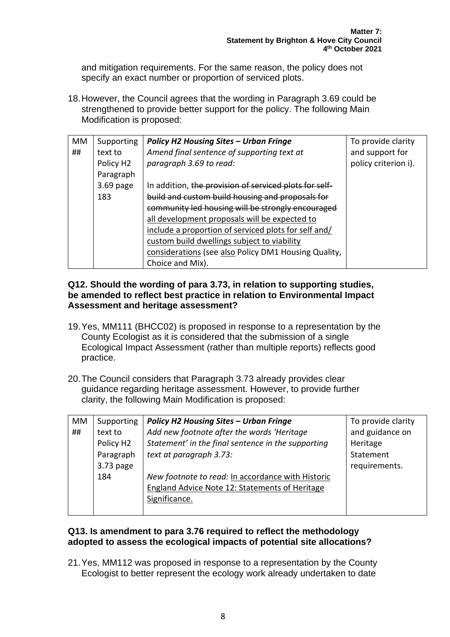and mitigation requirements. For the same reason, the policy does not specify an exact number or proportion of serviced plots.

18.However, the Council agrees that the wording in Paragraph 3.69 could be strengthened to provide better support for the policy. The following Main Modification is proposed:

| MM | Supporting            | <b>Policy H2 Housing Sites - Urban Fringe</b>          | To provide clarity   |
|----|-----------------------|--------------------------------------------------------|----------------------|
| ## | text to               | Amend final sentence of supporting text at             | and support for      |
|    | Policy H <sub>2</sub> | paragraph 3.69 to read:                                | policy criterion i). |
|    | Paragraph             |                                                        |                      |
|    | $3.69$ page           | In addition, the provision of serviced plots for self- |                      |
|    | 183                   | build and custom build housing and proposals for       |                      |
|    |                       | community led housing will be strongly encouraged      |                      |
|    |                       | all development proposals will be expected to          |                      |
|    |                       | include a proportion of serviced plots for self and/   |                      |
|    |                       | custom build dwellings subject to viability            |                      |
|    |                       | considerations (see also Policy DM1 Housing Quality,   |                      |
|    |                       | Choice and Mix).                                       |                      |

# **Q12. Should the wording of para 3.73, in relation to supporting studies, be amended to reflect best practice in relation to Environmental Impact Assessment and heritage assessment?**

- 19.Yes, MM111 (BHCC02) is proposed in response to a representation by the County Ecologist as it is considered that the submission of a single Ecological Impact Assessment (rather than multiple reports) reflects good practice.
- 20.The Council considers that Paragraph 3.73 already provides clear guidance regarding heritage assessment. However, to provide further clarity, the following Main Modification is proposed:

| MM | Supporting            | <b>Policy H2 Housing Sites - Urban Fringe</b>      | To provide clarity |
|----|-----------------------|----------------------------------------------------|--------------------|
| ## | text to               | Add new footnote after the words 'Heritage         | and guidance on    |
|    | Policy H <sub>2</sub> | Statement' in the final sentence in the supporting | Heritage           |
|    | Paragraph             | text at paragraph 3.73:                            | Statement          |
|    | 3.73 page             |                                                    | requirements.      |
|    | 184                   | New footnote to read: In accordance with Historic  |                    |
|    |                       | England Advice Note 12: Statements of Heritage     |                    |
|    |                       | Significance.                                      |                    |
|    |                       |                                                    |                    |

# **Q13. Is amendment to para 3.76 required to reflect the methodology adopted to assess the ecological impacts of potential site allocations?**

21.Yes, MM112 was proposed in response to a representation by the County Ecologist to better represent the ecology work already undertaken to date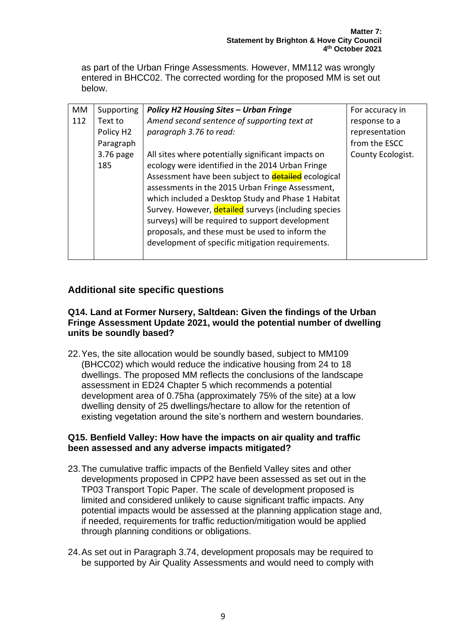as part of the Urban Fringe Assessments. However, MM112 was wrongly entered in BHCC02. The corrected wording for the proposed MM is set out below.

| <b>MM</b> | Supporting            | <b>Policy H2 Housing Sites - Urban Fringe</b>              | For accuracy in   |
|-----------|-----------------------|------------------------------------------------------------|-------------------|
| 112       | Text to               | Amend second sentence of supporting text at                | response to a     |
|           | Policy H <sub>2</sub> | paragraph 3.76 to read:                                    | representation    |
|           | Paragraph             |                                                            | from the ESCC     |
|           | 3.76 page             | All sites where potentially significant impacts on         | County Ecologist. |
|           | 185                   | ecology were identified in the 2014 Urban Fringe           |                   |
|           |                       | Assessment have been subject to <b>detailed</b> ecological |                   |
|           |                       | assessments in the 2015 Urban Fringe Assessment,           |                   |
|           |                       | which included a Desktop Study and Phase 1 Habitat         |                   |
|           |                       | Survey. However, detailed surveys (including species       |                   |
|           |                       | surveys) will be required to support development           |                   |
|           |                       | proposals, and these must be used to inform the            |                   |
|           |                       | development of specific mitigation requirements.           |                   |
|           |                       |                                                            |                   |

# **Additional site specific questions**

#### **Q14. Land at Former Nursery, Saltdean: Given the findings of the Urban Fringe Assessment Update 2021, would the potential number of dwelling units be soundly based?**

22.Yes, the site allocation would be soundly based, subject to MM109 (BHCC02) which would reduce the indicative housing from 24 to 18 dwellings. The proposed MM reflects the conclusions of the landscape assessment in ED24 Chapter 5 which recommends a potential development area of 0.75ha (approximately 75% of the site) at a low dwelling density of 25 dwellings/hectare to allow for the retention of existing vegetation around the site's northern and western boundaries.

# **Q15. Benfield Valley: How have the impacts on air quality and traffic been assessed and any adverse impacts mitigated?**

- 23.The cumulative traffic impacts of the Benfield Valley sites and other developments proposed in CPP2 have been assessed as set out in the TP03 Transport Topic Paper. The scale of development proposed is limited and considered unlikely to cause significant traffic impacts. Any potential impacts would be assessed at the planning application stage and, if needed, requirements for traffic reduction/mitigation would be applied through planning conditions or obligations.
- 24.As set out in Paragraph 3.74, development proposals may be required to be supported by Air Quality Assessments and would need to comply with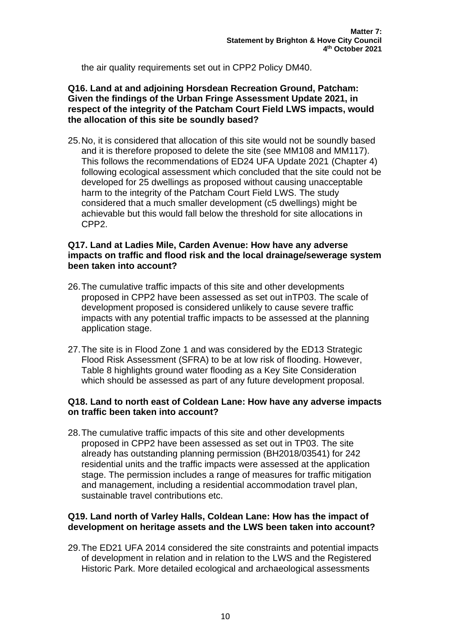the air quality requirements set out in CPP2 Policy DM40.

# **Q16. Land at and adjoining Horsdean Recreation Ground, Patcham: Given the findings of the Urban Fringe Assessment Update 2021, in respect of the integrity of the Patcham Court Field LWS impacts, would the allocation of this site be soundly based?**

25.No, it is considered that allocation of this site would not be soundly based and it is therefore proposed to delete the site (see MM108 and MM117). This follows the recommendations of ED24 UFA Update 2021 (Chapter 4) following ecological assessment which concluded that the site could not be developed for 25 dwellings as proposed without causing unacceptable harm to the integrity of the Patcham Court Field LWS. The study considered that a much smaller development (c5 dwellings) might be achievable but this would fall below the threshold for site allocations in CPP2.

# **Q17. Land at Ladies Mile, Carden Avenue: How have any adverse impacts on traffic and flood risk and the local drainage/sewerage system been taken into account?**

- 26.The cumulative traffic impacts of this site and other developments proposed in CPP2 have been assessed as set out inTP03. The scale of development proposed is considered unlikely to cause severe traffic impacts with any potential traffic impacts to be assessed at the planning application stage.
- 27.The site is in Flood Zone 1 and was considered by the ED13 Strategic Flood Risk Assessment (SFRA) to be at low risk of flooding. However, Table 8 highlights ground water flooding as a Key Site Consideration which should be assessed as part of any future development proposal.

# **Q18. Land to north east of Coldean Lane: How have any adverse impacts on traffic been taken into account?**

28.The cumulative traffic impacts of this site and other developments proposed in CPP2 have been assessed as set out in TP03. The site already has outstanding planning permission (BH2018/03541) for 242 residential units and the traffic impacts were assessed at the application stage. The permission includes a range of measures for traffic mitigation and management, including a residential accommodation travel plan, sustainable travel contributions etc.

# **Q19. Land north of Varley Halls, Coldean Lane: How has the impact of development on heritage assets and the LWS been taken into account?**

29.The ED21 UFA 2014 considered the site constraints and potential impacts of development in relation and in relation to the LWS and the Registered Historic Park. More detailed ecological and archaeological assessments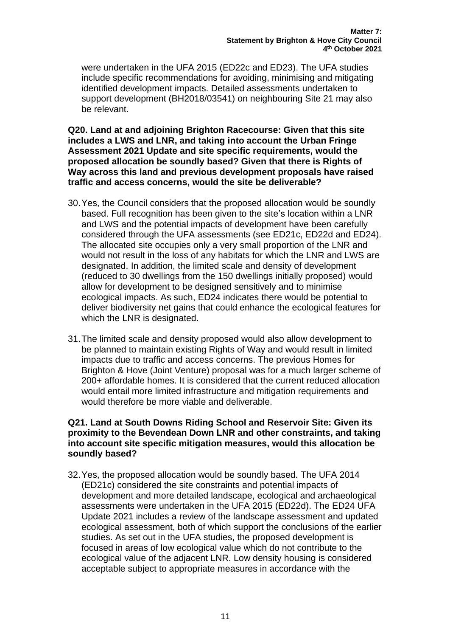were undertaken in the UFA 2015 (ED22c and ED23). The UFA studies include specific recommendations for avoiding, minimising and mitigating identified development impacts. Detailed assessments undertaken to support development (BH2018/03541) on neighbouring Site 21 may also be relevant.

**Q20. Land at and adjoining Brighton Racecourse: Given that this site includes a LWS and LNR, and taking into account the Urban Fringe Assessment 2021 Update and site specific requirements, would the proposed allocation be soundly based? Given that there is Rights of Way across this land and previous development proposals have raised traffic and access concerns, would the site be deliverable?**

- 30.Yes, the Council considers that the proposed allocation would be soundly based. Full recognition has been given to the site's location within a LNR and LWS and the potential impacts of development have been carefully considered through the UFA assessments (see ED21c, ED22d and ED24). The allocated site occupies only a very small proportion of the LNR and would not result in the loss of any habitats for which the LNR and LWS are designated. In addition, the limited scale and density of development (reduced to 30 dwellings from the 150 dwellings initially proposed) would allow for development to be designed sensitively and to minimise ecological impacts. As such, ED24 indicates there would be potential to deliver biodiversity net gains that could enhance the ecological features for which the LNR is designated.
- 31.The limited scale and density proposed would also allow development to be planned to maintain existing Rights of Way and would result in limited impacts due to traffic and access concerns. The previous Homes for Brighton & Hove (Joint Venture) proposal was for a much larger scheme of 200+ affordable homes. It is considered that the current reduced allocation would entail more limited infrastructure and mitigation requirements and would therefore be more viable and deliverable.

# **Q21. Land at South Downs Riding School and Reservoir Site: Given its proximity to the Bevendean Down LNR and other constraints, and taking into account site specific mitigation measures, would this allocation be soundly based?**

32.Yes, the proposed allocation would be soundly based. The UFA 2014 (ED21c) considered the site constraints and potential impacts of development and more detailed landscape, ecological and archaeological assessments were undertaken in the UFA 2015 (ED22d). The ED24 UFA Update 2021 includes a review of the landscape assessment and updated ecological assessment, both of which support the conclusions of the earlier studies. As set out in the UFA studies, the proposed development is focused in areas of low ecological value which do not contribute to the ecological value of the adjacent LNR. Low density housing is considered acceptable subject to appropriate measures in accordance with the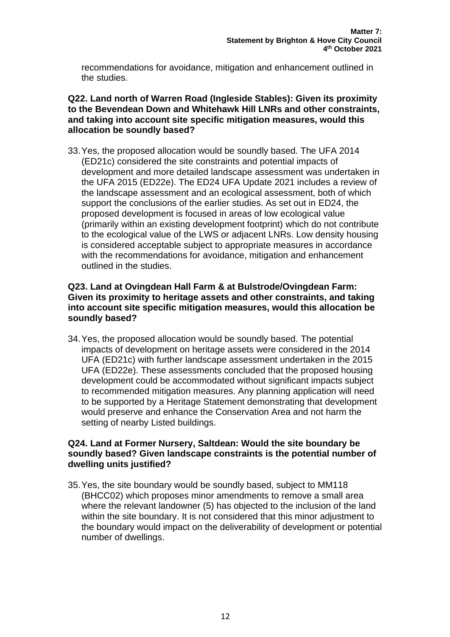recommendations for avoidance, mitigation and enhancement outlined in the studies.

#### **Q22. Land north of Warren Road (Ingleside Stables): Given its proximity to the Bevendean Down and Whitehawk Hill LNRs and other constraints, and taking into account site specific mitigation measures, would this allocation be soundly based?**

33.Yes, the proposed allocation would be soundly based. The UFA 2014 (ED21c) considered the site constraints and potential impacts of development and more detailed landscape assessment was undertaken in the UFA 2015 (ED22e). The ED24 UFA Update 2021 includes a review of the landscape assessment and an ecological assessment, both of which support the conclusions of the earlier studies. As set out in ED24, the proposed development is focused in areas of low ecological value (primarily within an existing development footprint) which do not contribute to the ecological value of the LWS or adjacent LNRs. Low density housing is considered acceptable subject to appropriate measures in accordance with the recommendations for avoidance, mitigation and enhancement outlined in the studies.

#### **Q23. Land at Ovingdean Hall Farm & at Bulstrode/Ovingdean Farm: Given its proximity to heritage assets and other constraints, and taking into account site specific mitigation measures, would this allocation be soundly based?**

34.Yes, the proposed allocation would be soundly based. The potential impacts of development on heritage assets were considered in the 2014 UFA (ED21c) with further landscape assessment undertaken in the 2015 UFA (ED22e). These assessments concluded that the proposed housing development could be accommodated without significant impacts subject to recommended mitigation measures. Any planning application will need to be supported by a Heritage Statement demonstrating that development would preserve and enhance the Conservation Area and not harm the setting of nearby Listed buildings.

# **Q24. Land at Former Nursery, Saltdean: Would the site boundary be soundly based? Given landscape constraints is the potential number of dwelling units justified?**

35.Yes, the site boundary would be soundly based, subject to MM118 (BHCC02) which proposes minor amendments to remove a small area where the relevant landowner (5) has objected to the inclusion of the land within the site boundary. It is not considered that this minor adjustment to the boundary would impact on the deliverability of development or potential number of dwellings.